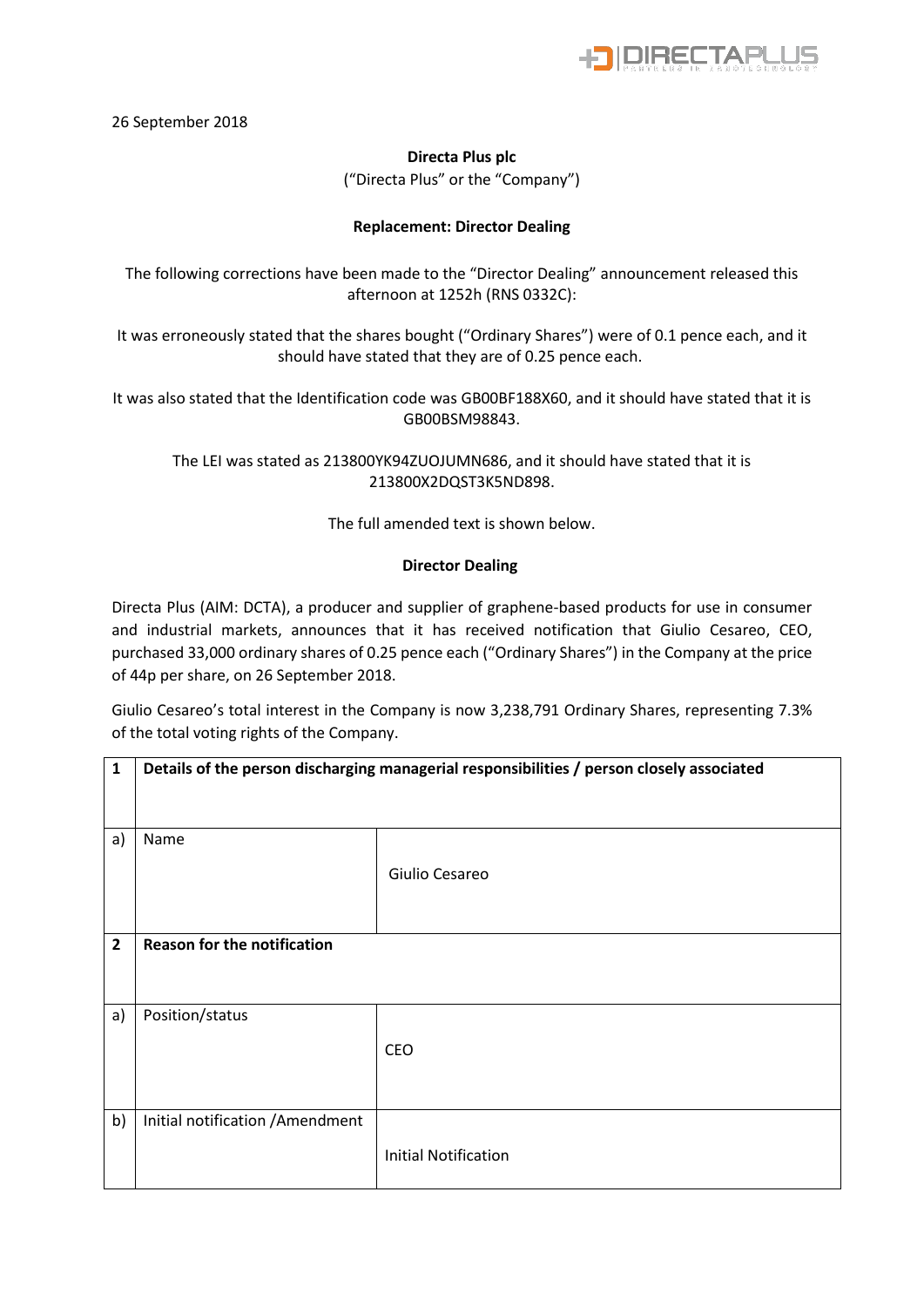

26 September 2018

## **Directa Plus plc**  ("Directa Plus" or the "Company")

## **Replacement: Director Dealing**

The following corrections have been made to the "Director Dealing" announcement released this afternoon at 1252h (RNS 0332C):

It was erroneously stated that the shares bought ("Ordinary Shares") were of 0.1 pence each, and it should have stated that they are of 0.25 pence each.

It was also stated that the Identification code was GB00BF188X60, and it should have stated that it is GB00BSM98843.

The LEI was stated as 213800YK94ZUOJUMN686, and it should have stated that it is 213800X2DQST3K5ND898.

The full amended text is shown below.

## **Director Dealing**

Directa Plus (AIM: DCTA), a producer and supplier of graphene-based products for use in consumer and industrial markets, announces that it has received notification that Giulio Cesareo, CEO, purchased 33,000 ordinary shares of 0.25 pence each ("Ordinary Shares") in the Company at the price of 44p per share, on 26 September 2018.

Giulio Cesareo's total interest in the Company is now 3,238,791 Ordinary Shares, representing 7.3% of the total voting rights of the Company.

| $\mathbf{1}$   | Details of the person discharging managerial responsibilities / person closely associated |                             |  |
|----------------|-------------------------------------------------------------------------------------------|-----------------------------|--|
|                |                                                                                           |                             |  |
| a)             | Name                                                                                      |                             |  |
|                |                                                                                           | Giulio Cesareo              |  |
|                |                                                                                           |                             |  |
| $\overline{2}$ | <b>Reason for the notification</b>                                                        |                             |  |
|                |                                                                                           |                             |  |
|                |                                                                                           |                             |  |
| a)             | Position/status                                                                           |                             |  |
|                |                                                                                           | CEO                         |  |
|                |                                                                                           |                             |  |
|                |                                                                                           |                             |  |
| b)             | Initial notification / Amendment                                                          |                             |  |
|                |                                                                                           | <b>Initial Notification</b> |  |
|                |                                                                                           |                             |  |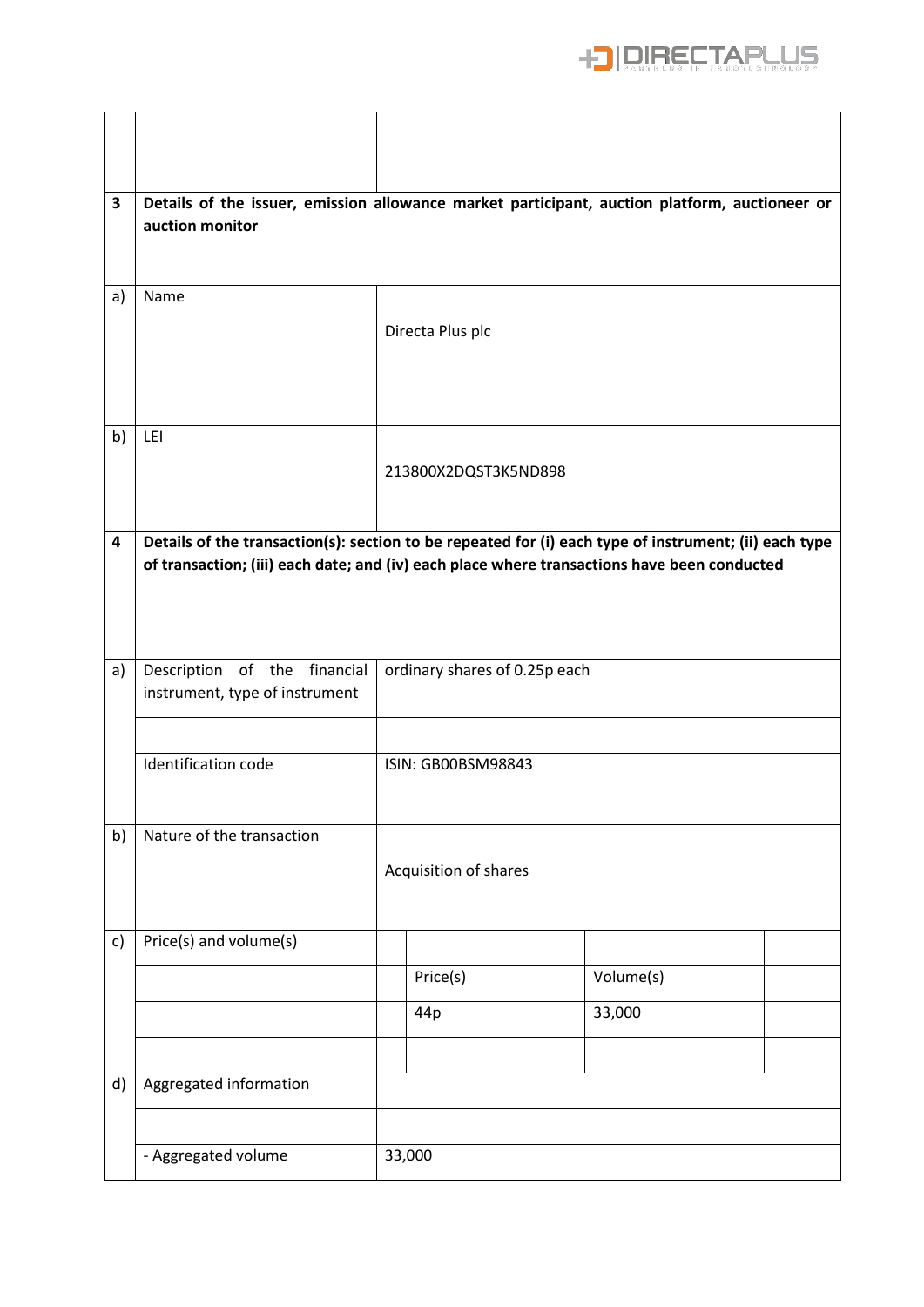

| 3  | Details of the issuer, emission allowance market participant, auction platform, auctioneer or<br>auction monitor                                                                                     |  |                               |           |  |  |  |
|----|------------------------------------------------------------------------------------------------------------------------------------------------------------------------------------------------------|--|-------------------------------|-----------|--|--|--|
| a) | Name                                                                                                                                                                                                 |  | Directa Plus plc              |           |  |  |  |
| b) | LEI                                                                                                                                                                                                  |  | 213800X2DQST3K5ND898          |           |  |  |  |
| 4  | Details of the transaction(s): section to be repeated for (i) each type of instrument; (ii) each type<br>of transaction; (iii) each date; and (iv) each place where transactions have been conducted |  |                               |           |  |  |  |
| a) | Description of the financial<br>instrument, type of instrument                                                                                                                                       |  | ordinary shares of 0.25p each |           |  |  |  |
|    | Identification code                                                                                                                                                                                  |  | ISIN: GB00BSM98843            |           |  |  |  |
| b) | Nature of the transaction                                                                                                                                                                            |  | Acquisition of shares         |           |  |  |  |
| c) | Price(s) and volume(s)                                                                                                                                                                               |  |                               |           |  |  |  |
|    |                                                                                                                                                                                                      |  | Price(s)                      | Volume(s) |  |  |  |
|    |                                                                                                                                                                                                      |  | 44p                           | 33,000    |  |  |  |
|    |                                                                                                                                                                                                      |  |                               |           |  |  |  |
| d) | Aggregated information                                                                                                                                                                               |  |                               |           |  |  |  |
|    |                                                                                                                                                                                                      |  |                               |           |  |  |  |
|    | - Aggregated volume                                                                                                                                                                                  |  | 33,000                        |           |  |  |  |